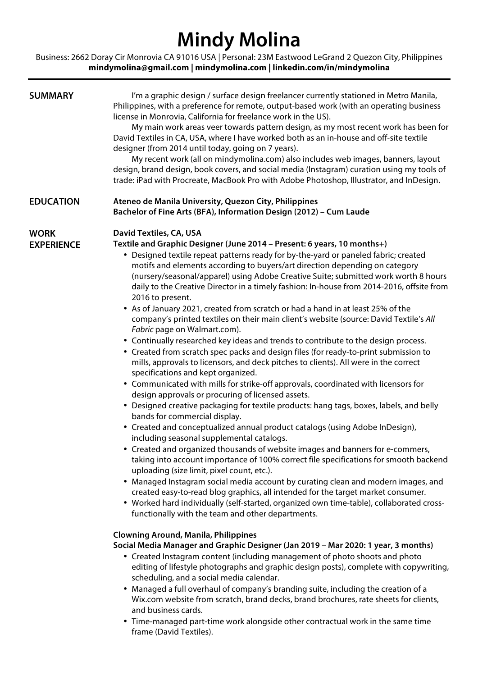# **Mindy Molina**

Business: 2662 Doray Cir Monrovia CA 91016 USA | Personal: 23M Eastwood LeGrand 2 Quezon City, Philippines **mindymolina@gmail.com | mindymolina.com | linkedin.com/in/mindymolina**

| <b>SUMMARY</b>                   | I'm a graphic design / surface design freelancer currently stationed in Metro Manila,<br>Philippines, with a preference for remote, output-based work (with an operating business<br>license in Monrovia, California for freelance work in the US).<br>My main work areas veer towards pattern design, as my most recent work has been for<br>David Textiles in CA, USA, where I have worked both as an in-house and off-site textile<br>designer (from 2014 until today, going on 7 years).<br>My recent work (all on mindymolina.com) also includes web images, banners, layout<br>design, brand design, book covers, and social media (Instagram) curation using my tools of<br>trade: iPad with Procreate, MacBook Pro with Adobe Photoshop, Illustrator, and InDesign.                                                                                                                                                                                                                                                                                                                                                                                                                                                                                                                                                                                                                                                                                                                                                                                                                                                                                                                                                                                                                                                                                                                                                                                                                                                                                                                                                                                                                                                                                                                                                                                                                                                                                                                                                                                                                                                                  |
|----------------------------------|----------------------------------------------------------------------------------------------------------------------------------------------------------------------------------------------------------------------------------------------------------------------------------------------------------------------------------------------------------------------------------------------------------------------------------------------------------------------------------------------------------------------------------------------------------------------------------------------------------------------------------------------------------------------------------------------------------------------------------------------------------------------------------------------------------------------------------------------------------------------------------------------------------------------------------------------------------------------------------------------------------------------------------------------------------------------------------------------------------------------------------------------------------------------------------------------------------------------------------------------------------------------------------------------------------------------------------------------------------------------------------------------------------------------------------------------------------------------------------------------------------------------------------------------------------------------------------------------------------------------------------------------------------------------------------------------------------------------------------------------------------------------------------------------------------------------------------------------------------------------------------------------------------------------------------------------------------------------------------------------------------------------------------------------------------------------------------------------------------------------------------------------------------------------------------------------------------------------------------------------------------------------------------------------------------------------------------------------------------------------------------------------------------------------------------------------------------------------------------------------------------------------------------------------------------------------------------------------------------------------------------------------|
| <b>EDUCATION</b>                 | Ateneo de Manila University, Quezon City, Philippines<br>Bachelor of Fine Arts (BFA), Information Design (2012) - Cum Laude                                                                                                                                                                                                                                                                                                                                                                                                                                                                                                                                                                                                                                                                                                                                                                                                                                                                                                                                                                                                                                                                                                                                                                                                                                                                                                                                                                                                                                                                                                                                                                                                                                                                                                                                                                                                                                                                                                                                                                                                                                                                                                                                                                                                                                                                                                                                                                                                                                                                                                                  |
| <b>WORK</b><br><b>EXPERIENCE</b> | David Textiles, CA, USA<br>Textile and Graphic Designer (June 2014 - Present: 6 years, 10 months+)<br>• Designed textile repeat patterns ready for by-the-yard or paneled fabric; created<br>motifs and elements according to buyers/art direction depending on category<br>(nursery/seasonal/apparel) using Adobe Creative Suite; submitted work worth 8 hours<br>daily to the Creative Director in a timely fashion: In-house from 2014-2016, offsite from<br>2016 to present.<br>• As of January 2021, created from scratch or had a hand in at least 25% of the<br>company's printed textiles on their main client's website (source: David Textile's All<br>Fabric page on Walmart.com).<br>• Continually researched key ideas and trends to contribute to the design process.<br>• Created from scratch spec packs and design files (for ready-to-print submission to<br>mills, approvals to licensors, and deck pitches to clients). All were in the correct<br>specifications and kept organized.<br>• Communicated with mills for strike-off approvals, coordinated with licensors for<br>design approvals or procuring of licensed assets.<br>• Designed creative packaging for textile products: hang tags, boxes, labels, and belly<br>bands for commercial display.<br>• Created and conceptualized annual product catalogs (using Adobe InDesign),<br>including seasonal supplemental catalogs.<br>• Created and organized thousands of website images and banners for e-commers,<br>taking into account importance of 100% correct file specifications for smooth backend<br>uploading (size limit, pixel count, etc.).<br>• Managed Instagram social media account by curating clean and modern images, and<br>created easy-to-read blog graphics, all intended for the target market consumer.<br>• Worked hard individually (self-started, organized own time-table), collaborated cross-<br>functionally with the team and other departments.<br><b>Clowning Around, Manila, Philippines</b><br>Social Media Manager and Graphic Designer (Jan 2019 - Mar 2020: 1 year, 3 months)<br>• Created Instagram content (including management of photo shoots and photo<br>editing of lifestyle photographs and graphic design posts), complete with copywriting,<br>scheduling, and a social media calendar.<br>• Managed a full overhaul of company's branding suite, including the creation of a<br>Wix.com website from scratch, brand decks, brand brochures, rate sheets for clients,<br>and business cards.<br>• Time-managed part-time work alongside other contractual work in the same time<br>frame (David Textiles). |